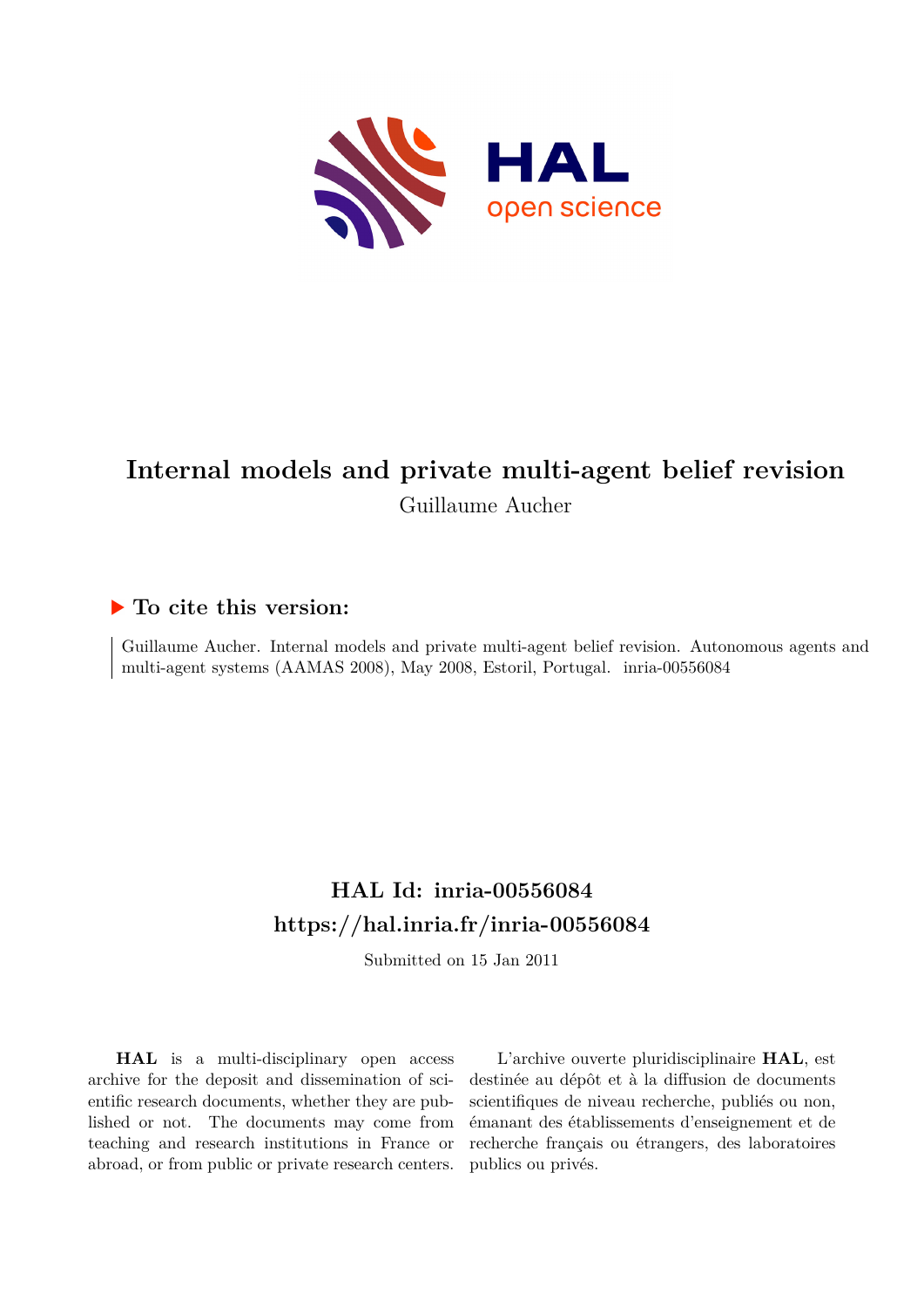

# **Internal models and private multi-agent belief revision** Guillaume Aucher

## **To cite this version:**

Guillaume Aucher. Internal models and private multi-agent belief revision. Autonomous agents and multi-agent systems (AAMAS 2008), May 2008, Estoril, Portugal. inria-00556084

## **HAL Id: inria-00556084 <https://hal.inria.fr/inria-00556084>**

Submitted on 15 Jan 2011

**HAL** is a multi-disciplinary open access archive for the deposit and dissemination of scientific research documents, whether they are published or not. The documents may come from teaching and research institutions in France or abroad, or from public or private research centers.

L'archive ouverte pluridisciplinaire **HAL**, est destinée au dépôt et à la diffusion de documents scientifiques de niveau recherche, publiés ou non, émanant des établissements d'enseignement et de recherche français ou étrangers, des laboratoires publics ou privés.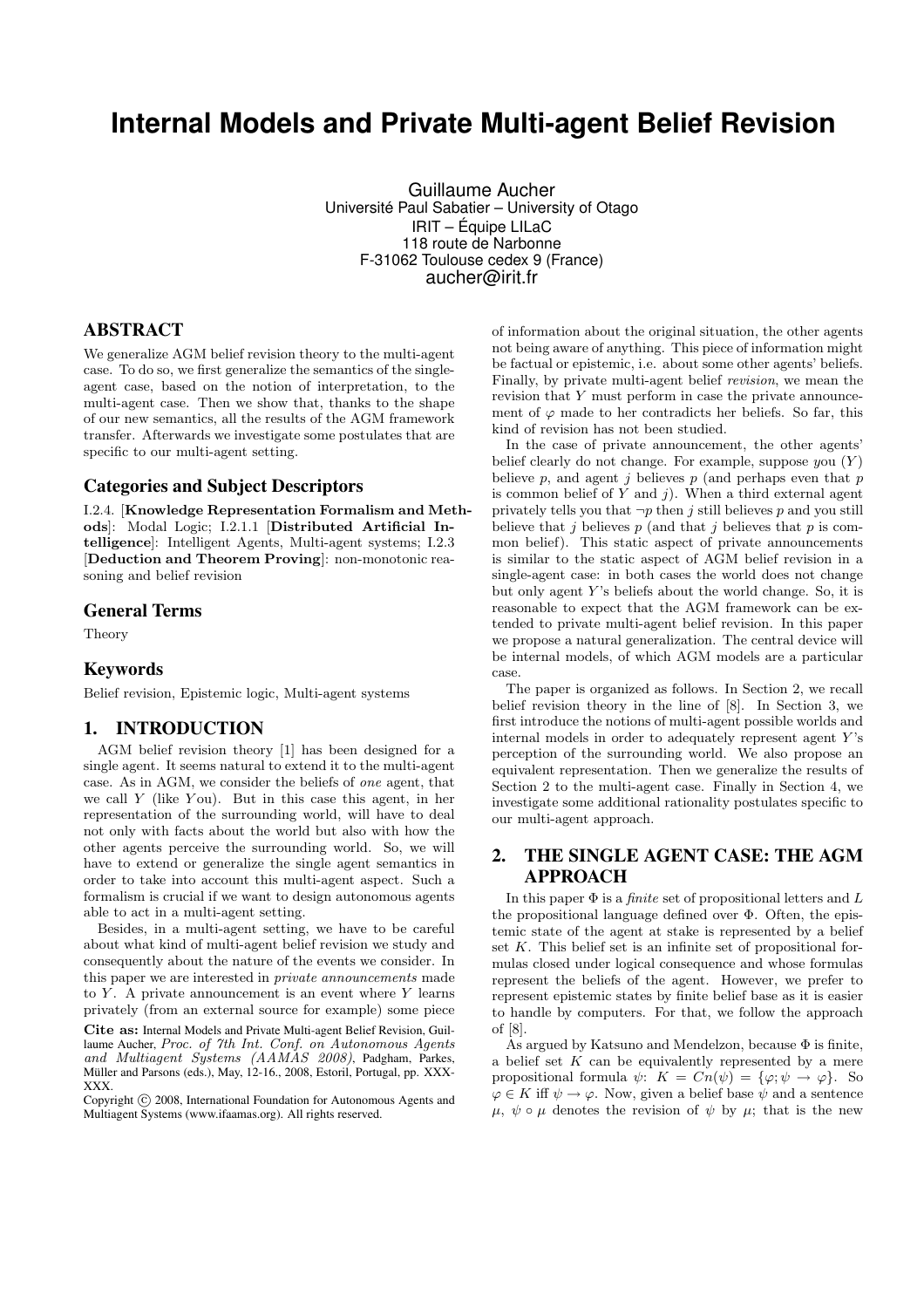## **Internal Models and Private Multi-agent Belief Revision**

Guillaume Aucher Université Paul Sabatier – University of Otago IRIT – Équipe LILaC 118 route de Narbonne F-31062 Toulouse cedex 9 (France) aucher@irit.fr

## ABSTRACT

We generalize AGM belief revision theory to the multi-agent case. To do so, we first generalize the semantics of the singleagent case, based on the notion of interpretation, to the multi-agent case. Then we show that, thanks to the shape of our new semantics, all the results of the AGM framework transfer. Afterwards we investigate some postulates that are specific to our multi-agent setting.

#### Categories and Subject Descriptors

I.2.4. [Knowledge Representation Formalism and Methods]: Modal Logic; I.2.1.1 [Distributed Artificial Intelligence]: Intelligent Agents, Multi-agent systems; I.2.3 [Deduction and Theorem Proving]: non-monotonic reasoning and belief revision

#### General Terms

Theory

### Keywords

Belief revision, Epistemic logic, Multi-agent systems

#### 1. INTRODUCTION

AGM belief revision theory [1] has been designed for a single agent. It seems natural to extend it to the multi-agent case. As in AGM, we consider the beliefs of one agent, that we call  $Y$  (like You). But in this case this agent, in her representation of the surrounding world, will have to deal not only with facts about the world but also with how the other agents perceive the surrounding world. So, we will have to extend or generalize the single agent semantics in order to take into account this multi-agent aspect. Such a formalism is crucial if we want to design autonomous agents able to act in a multi-agent setting.

Besides, in a multi-agent setting, we have to be careful about what kind of multi-agent belief revision we study and consequently about the nature of the events we consider. In this paper we are interested in private announcements made to  $Y$ . A private announcement is an event where  $Y$  learns privately (from an external source for example) some piece

Cite as: Internal Models and Private Multi-agent Belief Revision, Guillaume Aucher, Proc. of 7th Int. Conf. on Autonomous Agents and Multiagent Systems (AAMAS 2008), Padgham, Parkes, Müller and Parsons (eds.), May, 12-16., 2008, Estoril, Portugal, pp. XXX-XXX.

Copyright (C) 2008, International Foundation for Autonomous Agents and Multiagent Systems (www.ifaamas.org). All rights reserved.

of information about the original situation, the other agents not being aware of anything. This piece of information might be factual or epistemic, i.e. about some other agents' beliefs. Finally, by private multi-agent belief revision, we mean the revision that Y must perform in case the private announcement of  $\varphi$  made to her contradicts her beliefs. So far, this kind of revision has not been studied.

In the case of private announcement, the other agents' belief clearly do not change. For example, suppose you  $(Y)$ believe p, and agent j believes  $p$  (and perhaps even that  $p$ is common belief of  $Y$  and  $j$ ). When a third external agent privately tells you that  $\neg p$  then j still believes p and you still believe that j believes  $p$  (and that j believes that  $p$  is common belief). This static aspect of private announcements is similar to the static aspect of AGM belief revision in a single-agent case: in both cases the world does not change but only agent  $Y$ 's beliefs about the world change. So, it is reasonable to expect that the AGM framework can be extended to private multi-agent belief revision. In this paper we propose a natural generalization. The central device will be internal models, of which AGM models are a particular case.

The paper is organized as follows. In Section 2, we recall belief revision theory in the line of [8]. In Section 3, we first introduce the notions of multi-agent possible worlds and internal models in order to adequately represent agent  $Y$ 's perception of the surrounding world. We also propose an equivalent representation. Then we generalize the results of Section 2 to the multi-agent case. Finally in Section 4, we investigate some additional rationality postulates specific to our multi-agent approach.

## 2. THE SINGLE AGENT CASE: THE AGM APPROACH

In this paper  $\Phi$  is a *finite* set of propositional letters and L the propositional language defined over Φ. Often, the epistemic state of the agent at stake is represented by a belief set K. This belief set is an infinite set of propositional formulas closed under logical consequence and whose formulas represent the beliefs of the agent. However, we prefer to represent epistemic states by finite belief base as it is easier to handle by computers. For that, we follow the approach of [8].

As argued by Katsuno and Mendelzon, because  $\Phi$  is finite, a belief set  $K$  can be equivalently represented by a mere propositional formula  $\psi$ :  $K = Cn(\psi) = {\varphi; \psi \to \varphi}.$  So  $\varphi \in K$  iff  $\psi \to \varphi$ . Now, given a belief base  $\psi$  and a sentence  $\mu, \psi \circ \mu$  denotes the revision of  $\psi$  by  $\mu$ ; that is the new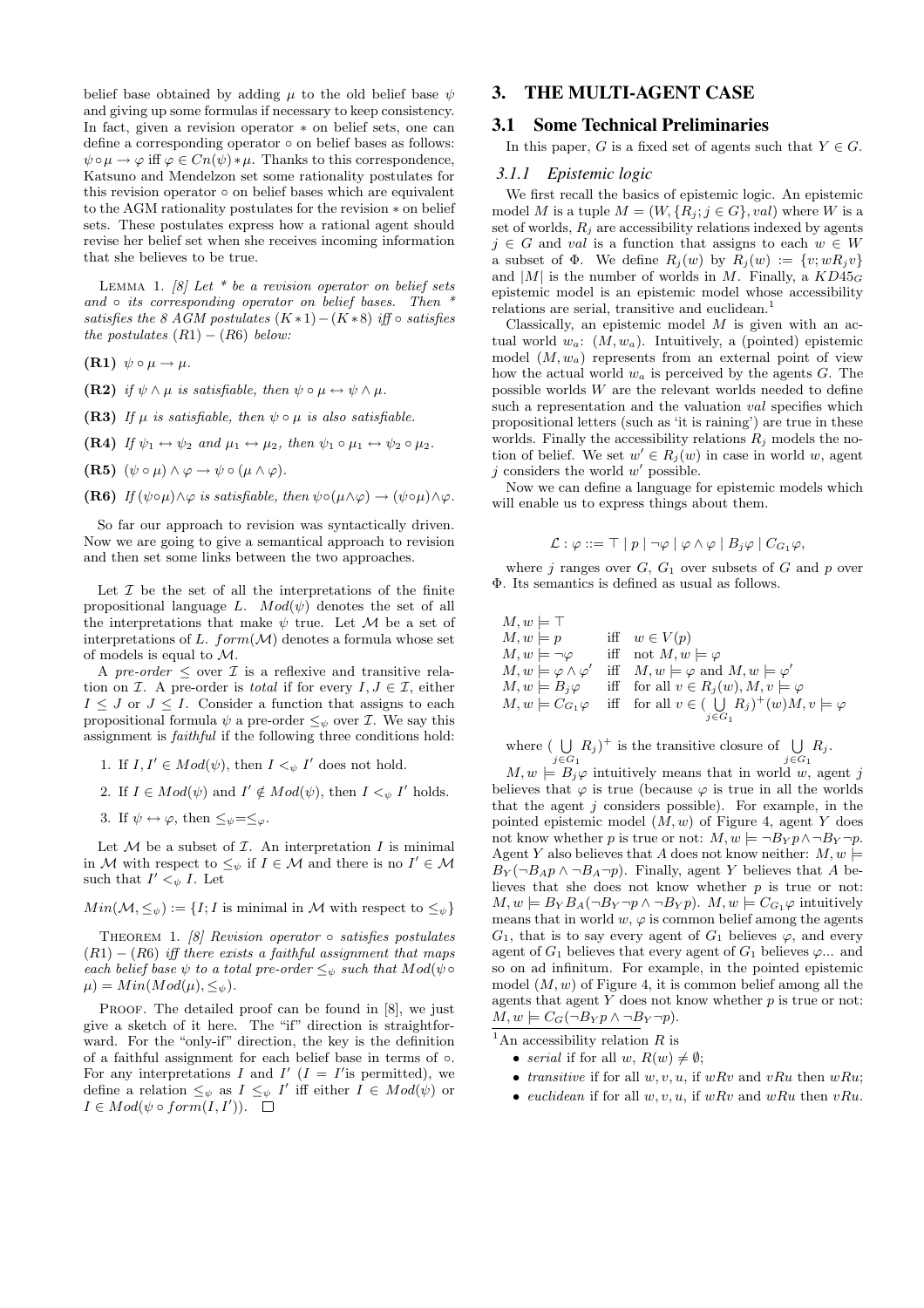belief base obtained by adding  $\mu$  to the old belief base  $\psi$ and giving up some formulas if necessary to keep consistency. In fact, given a revision operator ∗ on belief sets, one can define a corresponding operator ∘ on belief bases as follows:  $\psi \circ \mu \to \varphi$  iff  $\varphi \in C_n(\psi) * \mu$ . Thanks to this correspondence, Katsuno and Mendelzon set some rationality postulates for this revision operator ◦ on belief bases which are equivalent to the AGM rationality postulates for the revision ∗ on belief sets. These postulates express how a rational agent should revise her belief set when she receives incoming information that she believes to be true.

LEMMA 1. [8] Let  $*$  be a revision operator on belief sets and  $\circ$  its corresponding operator on belief bases. Then  $*$ satisfies the 8 AGM postulates  $(K * 1) - (K * 8)$  iff ∘ satisfies the postulates  $(R1) - (R6)$  below:

(R1)  $\psi \circ \mu \to \mu$ .

- (R2) if  $\psi \wedge \mu$  is satisfiable, then  $\psi \circ \mu \leftrightarrow \psi \wedge \mu$ .
- (R3) If  $\mu$  is satisfiable, then  $\psi \circ \mu$  is also satisfiable.
- (R4) If  $\psi_1 \leftrightarrow \psi_2$  and  $\mu_1 \leftrightarrow \mu_2$ , then  $\psi_1 \circ \mu_1 \leftrightarrow \psi_2 \circ \mu_2$ .
- (R5)  $(\psi \circ \mu) \wedge \varphi \rightarrow \psi \circ (\mu \wedge \varphi)$ .
- (R6) If  $(\psi \circ \mu) \land \varphi$  is satisfiable, then  $\psi \circ (\mu \land \varphi) \to (\psi \circ \mu) \land \varphi$ .

So far our approach to revision was syntactically driven. Now we are going to give a semantical approach to revision and then set some links between the two approaches.

Let  $\mathcal I$  be the set of all the interpretations of the finite propositional language L.  $Mod(\psi)$  denotes the set of all the interpretations that make  $\psi$  true. Let M be a set of interpretations of L.  $form(\mathcal{M})$  denotes a formula whose set of models is equal to M.

A pre-order  $\leq$  over  $\mathcal I$  is a reflexive and transitive relation on  $\mathcal I$ . A pre-order is *total* if for every  $I, J \in \mathcal I$ , either  $I \leq J$  or  $J \leq I$ . Consider a function that assigns to each propositional formula  $\psi$  a pre-order  $\leq_{\psi}$  over *I*. We say this assignment is faithful if the following three conditions hold:

- 1. If  $I, I' \in Mod(\psi)$ , then  $I \leq_{\psi} I'$  does not hold.
- 2. If  $I \in Mod(\psi)$  and  $I' \notin Mod(\psi)$ , then  $I \leq_{\psi} I'$  holds.
- 3. If  $\psi \leftrightarrow \varphi$ , then  $\leq_{\psi} = \leq_{\varphi}$ .

Let  $M$  be a subset of  $I$ . An interpretation  $I$  is minimal in M with respect to  $\leq_{\psi}$  if  $I \in \mathcal{M}$  and there is no  $I' \in \mathcal{M}$ such that  $I' <_{\psi} I$ . Let

 $Min(\mathcal{M}, \leq_{\psi}) := \{I; I \text{ is minimal in } \mathcal{M} \text{ with respect to } \leq_{\psi}\}\$ 

THEOREM 1. [8] Revision operator  $\circ$  satisfies postulates  $(R1) - (R6)$  iff there exists a faithful assignment that maps each belief base  $\psi$  to a total pre-order  $\leq_{\psi}$  such that  $Mod(\psi \circ$  $\mu$ ) = Min(Mod( $\mu$ ),  $\leq_{\psi}$ ).

PROOF. The detailed proof can be found in [8], we just give a sketch of it here. The "if" direction is straightforward. For the "only-if" direction, the key is the definition of a faithful assignment for each belief base in terms of ◦. For any interpretations I and I'  $(I = I'$  is permitted), we define a relation  $\leq_{\psi}$  as  $I \leq_{\psi} I'$  iff either  $I \in Mod(\psi)$  or  $I \in Mod(\psi \circ form(I, I')).$ 

## 3. THE MULTI-AGENT CASE

#### 3.1 Some Technical Preliminaries

In this paper, G is a fixed set of agents such that  $Y \in G$ .

#### *3.1.1 Epistemic logic*

We first recall the basics of epistemic logic. An epistemic model M is a tuple  $M = (W, \{R_j; j \in G\}, val)$  where W is a set of worlds,  $R_j$  are accessibility relations indexed by agents  $j \in G$  and val is a function that assigns to each  $w \in W$ a subset of  $\Phi$ . We define  $R_i(w)$  by  $R_i(w) := \{v; wR_i v\}$ and  $|M|$  is the number of worlds in M. Finally, a  $KD45_G$ epistemic model is an epistemic model whose accessibility relations are serial, transitive and euclidean.<sup>1</sup>

Classically, an epistemic model  $M$  is given with an actual world  $w_a$ :  $(M, w_a)$ . Intuitively, a (pointed) epistemic model  $(M, w_a)$  represents from an external point of view how the actual world  $w_a$  is perceived by the agents  $G$ . The possible worlds W are the relevant worlds needed to define such a representation and the valuation *val* specifies which propositional letters (such as 'it is raining') are true in these worlds. Finally the accessibility relations  $R_i$  models the notion of belief. We set  $w' \in R_i(w)$  in case in world w, agent j considers the world  $w'$  possible.

Now we can define a language for epistemic models which will enable us to express things about them.

$$
\mathcal{L} : \varphi ::= \top | p | \neg \varphi | \varphi \wedge \varphi | B_j \varphi | C_{G_1} \varphi,
$$

where j ranges over  $G, G_1$  over subsets of G and p over Φ. Its semantics is defined as usual as follows.

$$
M, w \models \top
$$
  
\n
$$
M, w \models p
$$
 iff  $w \in V(p)$   
\n
$$
M, w \models \neg \varphi
$$
 iff not  $M, w \models \varphi$   
\n
$$
M, w \models \varphi \land \varphi'
$$
 iff  $M, w \models \varphi$  and  $M, w \models \varphi'$   
\n
$$
M, w \models B_j \varphi
$$
 iff for all  $v \in R_j(w), M, v \models \varphi$   
\n
$$
M, w \models C_{G_1} \varphi
$$
 iff for all  $v \in (\bigcup_{j \in G_1} R_j)^+(w)M, v \models \varphi$ 

where  $( \n\bigcup$  $\bigcup_{j\in G_1} R_j$ <sup>+</sup> is the transitive closure of  $\bigcup_{j\in G_1}$  $\bigcup_{j\in G_1} R_j.$ 

 $M, w \models B_j \varphi$  intuitively means that in world w, agent j believes that  $\varphi$  is true (because  $\varphi$  is true in all the worlds that the agent  $j$  considers possible). For example, in the pointed epistemic model  $(M, w)$  of Figure 4, agent Y does not know whether p is true or not:  $M, w \models \neg B_Y p \land \neg B_Y \neg p$ . Agent Y also believes that A does not know neither:  $M, w \models$  $B_Y(\neg B_A p \land \neg B_A \neg p)$ . Finally, agent Y believes that A believes that she does not know whether  $p$  is true or not:  $M, w \models B_Y B_A(\neg B_Y \neg p \land \neg B_Y p)$ .  $M, w \models C_{G_1} \varphi$  intuitively means that in world  $w, \varphi$  is common belief among the agents  $G_1$ , that is to say every agent of  $G_1$  believes  $\varphi$ , and every agent of  $G_1$  believes that every agent of  $G_1$  believes  $\varphi$ ... and so on ad infinitum. For example, in the pointed epistemic model  $(M, w)$  of Figure 4, it is common belief among all the agents that agent  $Y$  does not know whether  $p$  is true or not:  $M, w \models C_G(\neg B_Y p \land \neg B_Y \neg p).$ 

<sup>1</sup>An accessibility relation R is

- serial if for all w,  $R(w) \neq \emptyset$ ;
- transitive if for all  $w, v, u$ , if  $wRv$  and  $vRu$  then  $wRu$ ;
- euclidean if for all  $w, v, u$ , if  $wRv$  and  $wRu$  then  $vRu$ .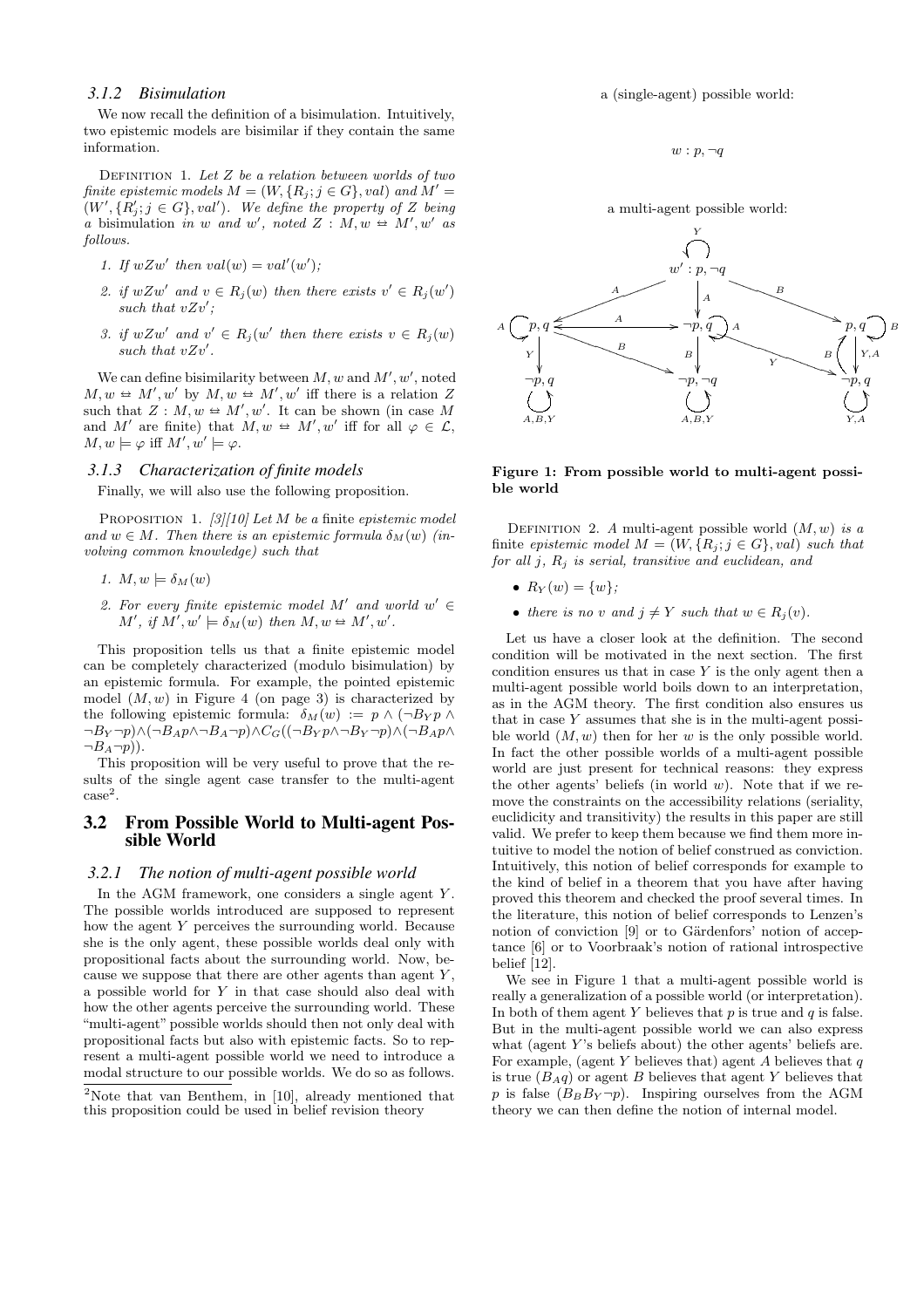#### *3.1.2 Bisimulation*

We now recall the definition of a bisimulation. Intuitively, two epistemic models are bisimilar if they contain the same information.

DEFINITION 1. Let  $Z$  be a relation between worlds of two finite epistemic models  $M = (W, \{R_i; j \in G\}, val)$  and  $M' =$  $(W', \{R'_j; j \in G\}, val')$ . We define the property of Z being a bisimulation in w and w', noted  $Z : M, w \trianglelefteq M', w'$  as follows.

- 1. If  $wZw'$  then  $val(w) = val'(w')$ ;
- 2. if  $wZw'$  and  $v \in R_j(w)$  then there exists  $v' \in R_j(w')$ such that  $vZv'$ ;
- 3. if  $wZw'$  and  $v' \in R_j(w'$  then there exists  $v \in R_j(w)$ such that  $vZv'$ .

We can define bisimilarity between  $M, w$  and  $M', w'$ , noted  $M, w \trianglelefteq M', w'$  by  $M, w \trianglelefteq M', w'$  iff there is a relation Z such that  $Z : M, w \trianglelefteq M', w'$ . It can be shown (in case M and M' are finite) that  $M, w \oplus M', w'$  iff for all  $\varphi \in \mathcal{L}$ ,  $M, w \models \varphi \text{ iff } M', w' \models \varphi.$ 

#### *3.1.3 Characterization of finite models*

Finally, we will also use the following proposition.

PROPOSITION 1. [3][10] Let M be a finite epistemic model and  $w \in M$ . Then there is an epistemic formula  $\delta_M(w)$  (involving common knowledge) such that

- 1.  $M, w \models \delta_M(w)$
- 2. For every finite epistemic model M' and world  $w' \in$  $M'$ , if  $M', w' \models \delta_M(w)$  then  $M, w \trianglelefteq M', w'$ .

This proposition tells us that a finite epistemic model can be completely characterized (modulo bisimulation) by an epistemic formula. For example, the pointed epistemic model  $(M, w)$  in Figure 4 (on page 3) is characterized by the following epistemic formula:  $\delta_M(w) := p \wedge (\neg B_Y p \wedge$  $\neg B_Y \neg p$ ) $\land (\neg B_A p \land \neg B_A \neg p) \land C_G((\neg B_Y p \land \neg B_Y \neg p) \land (\neg B_A p \land \neg B_Y \neg p))$  $\neg B_A\neg p$ ).

This proposition will be very useful to prove that the results of the single agent case transfer to the multi-agent  $case<sup>2</sup>$ .

#### 3.2 From Possible World to Multi-agent Possible World

#### *3.2.1 The notion of multi-agent possible world*

In the AGM framework, one considers a single agent  $Y$ . The possible worlds introduced are supposed to represent how the agent Y perceives the surrounding world. Because she is the only agent, these possible worlds deal only with propositional facts about the surrounding world. Now, because we suppose that there are other agents than agent  $Y$ , a possible world for Y in that case should also deal with how the other agents perceive the surrounding world. These "multi-agent" possible worlds should then not only deal with propositional facts but also with epistemic facts. So to represent a multi-agent possible world we need to introduce a modal structure to our possible worlds. We do so as follows.

a (single-agent) possible world:

 $w : p, \neg q$ 

a multi-agent possible world:



Figure 1: From possible world to multi-agent possible world

DEFINITION 2. A multi-agent possible world  $(M, w)$  is a finite epistemic model  $M = (W, \{R_i; j \in G\}, val)$  such that for all  $j$ ,  $R_i$  is serial, transitive and euclidean, and

- $R_Y(w) = \{w\};$
- there is no v and  $j \neq Y$  such that  $w \in R_j(v)$ .

Let us have a closer look at the definition. The second condition will be motivated in the next section. The first condition ensures us that in case  $Y$  is the only agent then a multi-agent possible world boils down to an interpretation, as in the AGM theory. The first condition also ensures us that in case  $Y$  assumes that she is in the multi-agent possible world  $(M, w)$  then for her w is the only possible world. In fact the other possible worlds of a multi-agent possible world are just present for technical reasons: they express the other agents' beliefs (in world  $w$ ). Note that if we remove the constraints on the accessibility relations (seriality, euclidicity and transitivity) the results in this paper are still valid. We prefer to keep them because we find them more intuitive to model the notion of belief construed as conviction. Intuitively, this notion of belief corresponds for example to the kind of belief in a theorem that you have after having proved this theorem and checked the proof several times. In the literature, this notion of belief corresponds to Lenzen's notion of conviction  $[9]$  or to Gärdenfors' notion of acceptance [6] or to Voorbraak's notion of rational introspective belief [12].

We see in Figure 1 that a multi-agent possible world is really a generalization of a possible world (or interpretation). In both of them agent Y believes that  $p$  is true and  $q$  is false. But in the multi-agent possible world we can also express what (agent  $Y$ 's beliefs about) the other agents' beliefs are. For example, (agent Y believes that) agent  $\overline{A}$  believes that  $q$ is true  $(B_Aq)$  or agent B believes that agent Y believes that p is false  $(B_B B_Y \neg p)$ . Inspiring ourselves from the AGM theory we can then define the notion of internal model.

<sup>2</sup>Note that van Benthem, in [10], already mentioned that this proposition could be used in belief revision theory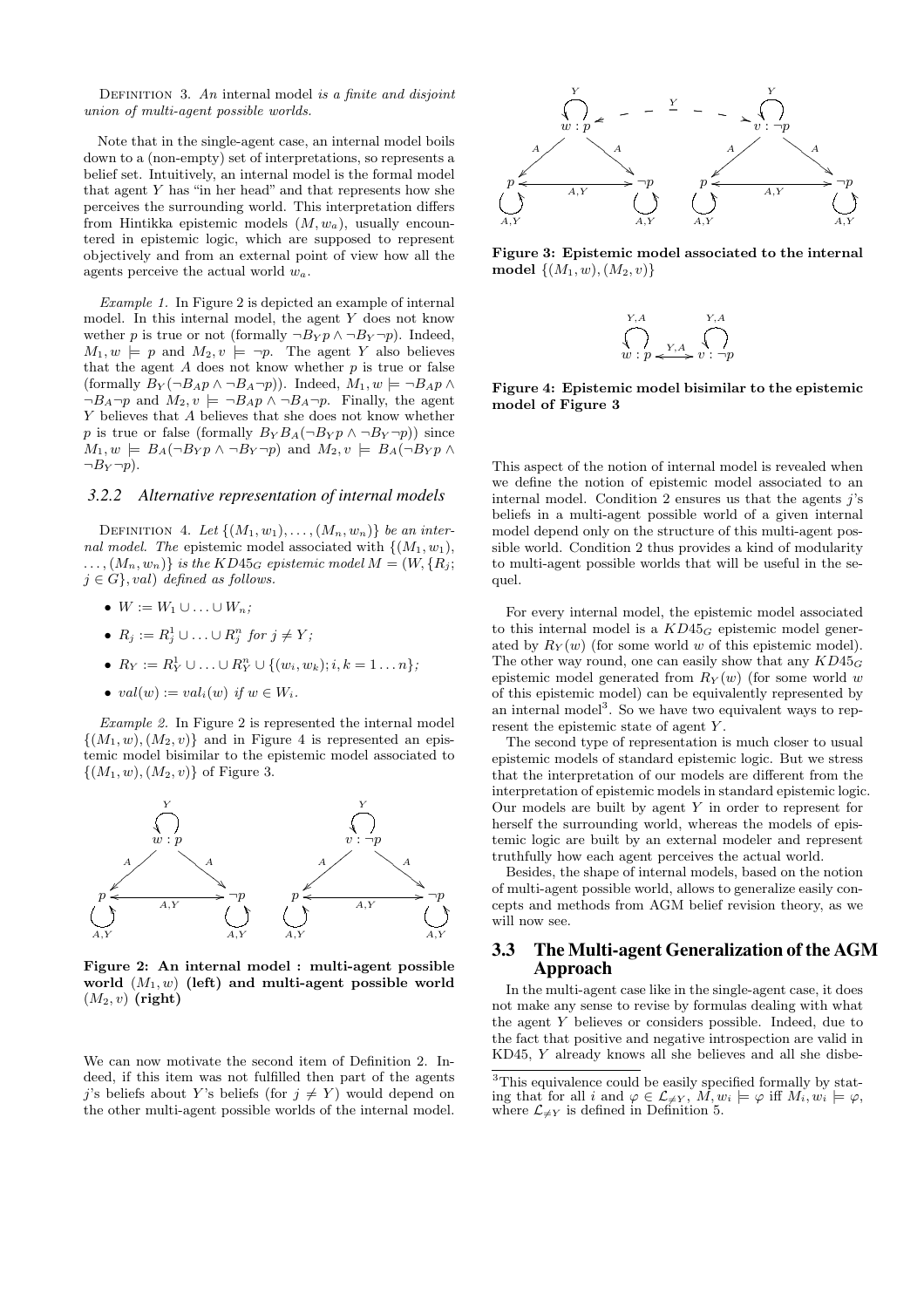DEFINITION 3. An internal model is a finite and disjoint union of multi-agent possible worlds.

Note that in the single-agent case, an internal model boils down to a (non-empty) set of interpretations, so represents a belief set. Intuitively, an internal model is the formal model that agent Y has "in her head" and that represents how she perceives the surrounding world. This interpretation differs from Hintikka epistemic models  $(M, w_a)$ , usually encountered in epistemic logic, which are supposed to represent objectively and from an external point of view how all the agents perceive the actual world  $w_a$ .

Example 1. In Figure 2 is depicted an example of internal model. In this internal model, the agent Y does not know wether p is true or not (formally  $\neg B_Y p \wedge \neg B_Y \neg p$ ). Indeed,  $M_1, w \models p$  and  $M_2, v \models \neg p$ . The agent Y also believes that the agent  $A$  does not know whether  $p$  is true or false (formally  $B_Y(\neg B_A p \land \neg B_A \neg p)$ ). Indeed,  $M_1, w \models \neg B_A p \land \neg B_A p$  $\neg B_A \neg p$  and  $M_2, v \models \neg B_A p \land \neg B_A \neg p$ . Finally, the agent Y believes that A believes that she does not know whether p is true or false (formally  $B_Y B_A(\neg B_Y p \wedge \neg B_Y \neg p)$ ) since  $M_1, w \models B_A(\neg B_Y p \land \neg B_Y \neg p)$  and  $M_2, v \models B_A(\neg B_Y p \land \neg B_Y \neg p)$  $\neg B_Y \neg p$ ).

#### *3.2.2 Alternative representation of internal models*

DEFINITION 4. Let  $\{(M_1, w_1), \ldots, (M_n, w_n)\}\$ be an internal model. The epistemic model associated with  $\{(M_1, w_1),$  $\ldots$ ,  $(M_n, w_n)$  is the KD45<sub>G</sub> epistemic model  $M = (W, \{R_i;$  $j \in G$ , val) defined as follows.

- $W := W_1 \cup \ldots \cup W_n$ ;
- $R_j := R_j^1 \cup \ldots \cup R_j^n$  for  $j \neq Y_j$
- $R_Y := R_Y^1 \cup ... \cup R_Y^n \cup \{(w_i, w_k); i, k = 1 ... n\};$
- $val(w) := val_i(w)$  if  $w \in W_i$ .

Example 2. In Figure 2 is represented the internal model  $\{(M_1, w), (M_2, v)\}\$ and in Figure 4 is represented an epistemic model bisimilar to the epistemic model associated to  $\{(M_1, w), (M_2, v)\}\;$  of Figure 3.



Figure 2: An internal model : multi-agent possible world  $(M_1, w)$  (left) and multi-agent possible world  $(M_2, v)$  (right)

We can now motivate the second item of Definition 2. Indeed, if this item was not fulfilled then part of the agents j's beliefs about Y's beliefs (for  $j \neq Y$ ) would depend on the other multi-agent possible worlds of the internal model.



Figure 3: Epistemic model associated to the internal model  $\{(M_1, w), (M_2, v)\}$ 



Figure 4: Epistemic model bisimilar to the epistemic model of Figure 3

This aspect of the notion of internal model is revealed when we define the notion of epistemic model associated to an internal model. Condition 2 ensures us that the agents  $i$ 's beliefs in a multi-agent possible world of a given internal model depend only on the structure of this multi-agent possible world. Condition 2 thus provides a kind of modularity to multi-agent possible worlds that will be useful in the sequel.

For every internal model, the epistemic model associated to this internal model is a  $KD45_G$  epistemic model generated by  $R_Y(w)$  (for some world w of this epistemic model). The other way round, one can easily show that any  $KD45_G$ epistemic model generated from  $R_Y(w)$  (for some world w of this epistemic model) can be equivalently represented by an internal model<sup>3</sup>. So we have two equivalent ways to represent the epistemic state of agent Y.

The second type of representation is much closer to usual epistemic models of standard epistemic logic. But we stress that the interpretation of our models are different from the interpretation of epistemic models in standard epistemic logic. Our models are built by agent  $Y$  in order to represent for herself the surrounding world, whereas the models of epistemic logic are built by an external modeler and represent truthfully how each agent perceives the actual world.

Besides, the shape of internal models, based on the notion of multi-agent possible world, allows to generalize easily concepts and methods from AGM belief revision theory, as we will now see.

#### 3.3 The Multi-agent Generalization of the AGM Approach

In the multi-agent case like in the single-agent case, it does not make any sense to revise by formulas dealing with what the agent Y believes or considers possible. Indeed, due to the fact that positive and negative introspection are valid in KD45, Y already knows all she believes and all she disbe-

<sup>&</sup>lt;sup>3</sup>This equivalence could be easily specified formally by stating that for all i and  $\varphi \in \mathcal{L}_{\neq Y}$ ,  $\hat{M}, w_i \models \varphi$  iff  $M_i, w_i \models \varphi$ , where  $\mathcal{L}_{\neq Y}$  is defined in Definition 5.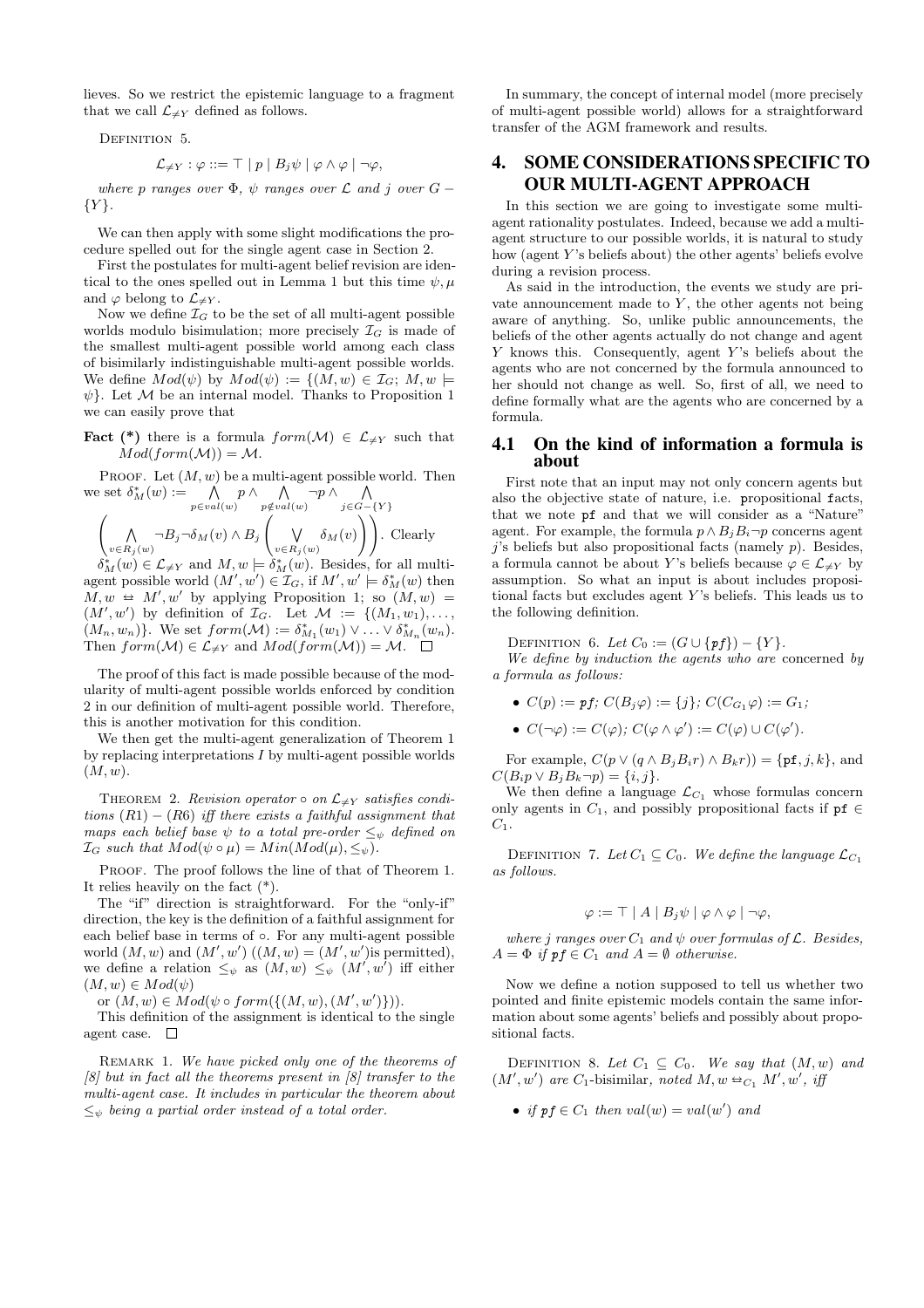lieves. So we restrict the epistemic language to a fragment that we call  $\mathcal{L}_{\neq Y}$  defined as follows.

DEFINITION 5.

$$
\mathcal{L}_{\neq Y} : \varphi ::= \top | p | B_j \psi | \varphi \wedge \varphi | \neg \varphi,
$$

where p ranges over  $\Phi$ ,  $\psi$  ranges over  $\mathcal L$  and j over  $G$  –  ${Y}.$ 

We can then apply with some slight modifications the procedure spelled out for the single agent case in Section 2.

First the postulates for multi-agent belief revision are identical to the ones spelled out in Lemma 1 but this time  $\psi, \mu$ and  $\varphi$  belong to  $\mathcal{L}_{\neq Y}$ .

Now we define  $\mathcal{I}_G$  to be the set of all multi-agent possible worlds modulo bisimulation; more precisely  $\mathcal{I}_G$  is made of the smallest multi-agent possible world among each class of bisimilarly indistinguishable multi-agent possible worlds. We define  $Mod(\psi)$  by  $Mod(\psi) := \{ (M, w) \in \mathcal{I}_G; M, w \models$  $\psi$ . Let M be an internal model. Thanks to Proposition 1 we can easily prove that

**Fact** (\*) there is a formula  $form(\mathcal{M}) \in \mathcal{L}_{\neq Y}$  such that  $Mod(form(\mathcal{M})) = \mathcal{M}.$ 

PROOF. Let  $(M, w)$  be a multi-agent possible world. Then PROOF. Let  $(M, w)$  be a multi-agent possible we<br>we set  $\delta_M^*(w) := \bigwedge_{p \in val(w)} p \land \bigwedge_{p \notin val(w)} \neg p \land \bigwedge_{j \in G - \{Y\}}$ 

$$
\left(\bigwedge_{v \in R_j(w)} \neg B_j \neg \delta_M(v) \land B_j\left(\bigvee_{v \in R_j(w)} \delta_M(v)\right)\right).
$$
 Clearly

 $\delta^*_{M}(w) \in \mathcal{L}_{\neq Y}$  and  $M, w \models \delta^*_{M}(w)$ . Besides, for all multiagent possible world  $(M', w') \in \mathcal{I}_G$ , if  $M', w' \models \delta_M^*(w)$  then  $M, w \leftrightarrow M', w'$  by applying Proposition 1; so  $(M, w) =$  $(M', w')$  by definition of  $\mathcal{I}_G$ . Let  $\mathcal{M} := \{(M_1, w_1), \ldots,$  $(M_n, w_n)$ . We set  $form(\mathcal{M}) := \delta_{M_1}^*(w_1) \vee \ldots \vee \delta_{M_n}^*(w_n)$ . Then  $form(\mathcal{M}) \in \mathcal{L}_{\neq Y}$  and  $Mod(form(\mathcal{M})) = \mathcal{M}.$   $\Box$ 

The proof of this fact is made possible because of the modularity of multi-agent possible worlds enforced by condition 2 in our definition of multi-agent possible world. Therefore, this is another motivation for this condition.

We then get the multi-agent generalization of Theorem 1 by replacing interpretations  $I$  by multi-agent possible worlds  $(M, w).$ 

THEOREM 2. Revision operator  $\circ$  on  $\mathcal{L}_{\neq Y}$  satisfies conditions  $(R1) - (R6)$  iff there exists a faithful assignment that maps each belief base  $\psi$  to a total pre-order  $\leq_{\psi}$  defined on  $\mathcal{I}_G$  such that  $Mod(\psi \circ \mu) = Min(Mod(\mu), \leq_{\psi}).$ 

PROOF. The proof follows the line of that of Theorem 1. It relies heavily on the fact (\*).

The "if" direction is straightforward. For the "only-if" direction, the key is the definition of a faithful assignment for each belief base in terms of ◦. For any multi-agent possible world  $(M, w)$  and  $(M', w')$   $((M, w) = (M', w')$  is permitted), we define a relation  $\leq_{\psi}$  as  $(M, w) \leq_{\psi} (M', w')$  iff either  $(M, w) \in Mod(\psi)$ 

or  $(M, w) \in Mod(\psi \circ form(\{(M, w), (M', w')\})).$ 

This definition of the assignment is identical to the single agent case.  $\square$ 

REMARK 1. We have picked only one of the theorems of  $[8]$  but in fact all the theorems present in  $[8]$  transfer to the multi-agent case. It includes in particular the theorem about  $\leq_{\psi}$  being a partial order instead of a total order.

In summary, the concept of internal model (more precisely of multi-agent possible world) allows for a straightforward transfer of the AGM framework and results.

## 4. SOME CONSIDERATIONS SPECIFIC TO OUR MULTI-AGENT APPROACH

In this section we are going to investigate some multiagent rationality postulates. Indeed, because we add a multiagent structure to our possible worlds, it is natural to study how (agent Y's beliefs about) the other agents' beliefs evolve during a revision process.

As said in the introduction, the events we study are private announcement made to  $Y$ , the other agents not being aware of anything. So, unlike public announcements, the beliefs of the other agents actually do not change and agent  $Y$  knows this. Consequently, agent  $Y$ 's beliefs about the agents who are not concerned by the formula announced to her should not change as well. So, first of all, we need to define formally what are the agents who are concerned by a formula.

#### 4.1 On the kind of information a formula is about

First note that an input may not only concern agents but also the objective state of nature, i.e. propositional facts, that we note pf and that we will consider as a "Nature" agent. For example, the formula  $p \wedge B_i B_i \neg p$  concerns agent  $j$ 's beliefs but also propositional facts (namely  $p$ ). Besides, a formula cannot be about Y's beliefs because  $\varphi \in \mathcal{L}_{\neq Y}$  by assumption. So what an input is about includes propositional facts but excludes agent  $Y$ 's beliefs. This leads us to the following definition.

DEFINITION 6. Let  $C_0 := (G \cup \{pf\}) - \{Y\}.$ 

We define by induction the agents who are concerned by a formula as follows:

- $C(p) := pf; C(B_j \varphi) := \{j\}; C(C_{G_1} \varphi) := G_1;$
- $C(\neg \varphi) := C(\varphi); C(\varphi \wedge \varphi') := C(\varphi) \cup C(\varphi').$

For example,  $C(p \vee (q \wedge B_i B_i r) \wedge B_k r) = \{ \text{pf}, j, k \},$  and  $C(B_i p \vee B_j B_k \neg p) = \{i, j\}.$ 

We then define a language  $\mathcal{L}_{C_1}$  whose formulas concern only agents in  $C_1$ , and possibly propositional facts if pf  $\in$  $C_1$ .

DEFINITION 7. Let  $C_1 \subseteq C_0$ . We define the language  $\mathcal{L}_{C_1}$ as follows.

$$
\varphi := \top | A | B_j \psi | \varphi \wedge \varphi | \neg \varphi,
$$

where j ranges over  $C_1$  and  $\psi$  over formulas of  $\mathcal{L}$ . Besides,  $A = \Phi$  if  $pf \in C_1$  and  $A = \emptyset$  otherwise.

Now we define a notion supposed to tell us whether two pointed and finite epistemic models contain the same information about some agents' beliefs and possibly about propositional facts.

DEFINITION 8. Let  $C_1 \subseteq C_0$ . We say that  $(M, w)$  and  $(M', w')$  are C<sub>1</sub>-bisimilar, noted  $M, w \trianglelefteq_{C_1} M', w'$ , iff

• if  $pf \in C_1$  then  $val(w) = val(w')$  and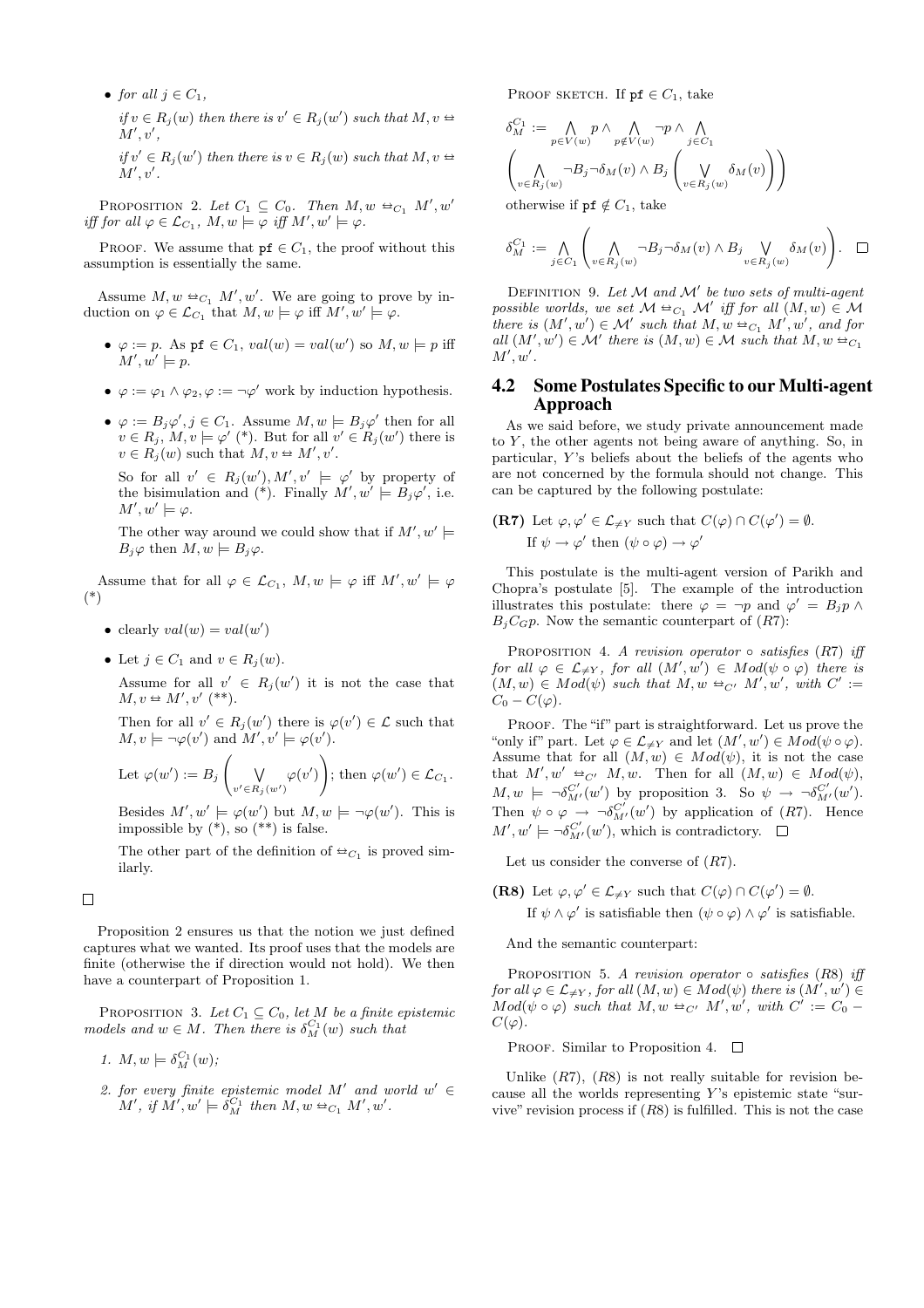• for all  $j \in C_1$ , if  $v \in R_j(w)$  then there is  $v' \in R_j(w')$  such that  $M, v \Leftrightarrow$  $M', v',$ 

if  $v' \in R_j(w')$  then there is  $v \in R_j(w)$  such that  $M, v \Leftrightarrow$  $M', v'.$ 

PROPOSITION 2. Let  $C_1 \subseteq C_0$ . Then  $M, w \triangleq_{C_1} M', w'$ iff for all  $\varphi \in \mathcal{L}_{C_1}$ ,  $M, w \models \varphi$  iff  $M', w' \models \varphi$ .

PROOF. We assume that  $pf \in C_1$ , the proof without this assumption is essentially the same.

Assume  $M, w \triangleq_{C_1} M', w'$ . We are going to prove by induction on  $\varphi \in \mathcal{L}_{C_1}$  that  $M, w \models \varphi$  iff  $M', w' \models \varphi$ .

- $\varphi := p$ . As pf  $\in C_1$ ,  $val(w) = val(w')$  so  $M, w \models p$  iff  $M', w' \models p.$
- $\varphi := \varphi_1 \wedge \varphi_2, \varphi := \neg \varphi'$  work by induction hypothesis.
- $\varphi := B_j \varphi', j \in C_1$ . Assume  $M, w \models B_j \varphi'$  then for all  $v \in R_j$ ,  $M, v \models \varphi'$  (\*). But for all  $v' \in R_j(w')$  there is  $v \in R_j(w)$  such that  $M, v \Leftrightarrow M', v'$ .

So for all  $v' \in R_j(w'), M', v' \models \varphi'$  by property of the bisimulation and (\*). Finally  $M', w' \models B_j \varphi'$ , i.e.  $M', w' \models \varphi.$ 

The other way around we could show that if  $M', w' \models$  $B_i\varphi$  then  $M, w \models B_i\varphi$ .

Assume that for all  $\varphi \in \mathcal{L}_{C_1}$ ,  $M, w \models \varphi$  iff  $M', w' \models \varphi$ (\*)

- clearly  $val(w) = val(w')$
- Let  $j \in C_1$  and  $v \in R_i(w)$ .

Assume for all  $v' \in R_j(w')$  it is not the case that  $M, v \trianglelefteq M', v'$  (\*\*).

Then for all  $v' \in R_j(w')$  there is  $\varphi(v') \in \mathcal{L}$  such that  $M, v \models \neg \varphi(v')$  and  $M', v' \models \varphi(v')$ . |<br>|<br>|<br>|<br>|

Let 
$$
\varphi(w') := B_j \left( \bigvee_{v' \in R_j(w')} \varphi(v') \right)
$$
; then  $\varphi(w') \in \mathcal{L}_{C_1}$ .

Besides  $M', w' \models \varphi(w')$  but  $M, w \models \neg \varphi(w')$ . This is impossible by  $(*),$  so  $(**)$  is false.

The other part of the definition of  $\triangleq_{C_1}$  is proved similarly.

 $\Box$ 

Proposition 2 ensures us that the notion we just defined captures what we wanted. Its proof uses that the models are finite (otherwise the if direction would not hold). We then have a counterpart of Proposition 1.

PROPOSITION 3. Let  $C_1 \subseteq C_0$ , let M be a finite epistemic models and  $w \in M$ . Then there is  $\delta_M^{C_1}(w)$  such that

- 1.  $M, w \models \delta_M^{C_1}(w);$
- 2. for every finite epistemic model M' and world  $w' \in$  $M', \text{ if } M', w' \models \hat{\delta}_{M}^{C_1} \text{ then } M, w \triangleq_{C_1} M', w'.$

PROOF SKETCH. If  $pf \in C_1$ , take

$$
\begin{split} \delta_M^{C_1} &:= \bigwedge_{p \in V(w)} p \wedge \bigwedge_{p \notin V(w)} \neg p \wedge \bigwedge_{j \in C_1} \\ & \left( \bigwedge_{v \in R_j(w)} \neg B_j \neg \delta_M(v) \wedge B_j \left( \bigvee_{v \in R_j(w)} \delta_M(v) \right) \right) \end{split}
$$

otherwise if  $pf \notin C_1$ , take

$$
\delta_M^{C_1} := \bigwedge_{j \in C_1} \left( \bigwedge_{v \in R_j(w)} \neg B_j \neg \delta_M(v) \land B_j \bigvee_{v \in R_j(w)} \delta_M(v) \right). \quad \Box
$$

DEFINITION 9. Let  $M$  and  $M'$  be two sets of multi-agent possible worlds, we set  $\mathcal{M} \triangleq_{C_1} \mathcal{M}'$  iff for all  $(M, w) \in \mathcal{M}$ there is  $(M', w') \in M'$  such that  $M, w \triangleq_{C_1} M', w'$ , and for all  $(M', w') \in \mathcal{M}'$  there is  $(M, w) \in \mathcal{M}$  such that  $M, w \triangleq_{C_1}$  $M', w'.$ 

### 4.2 Some Postulates Specific to our Multi-agent Approach

As we said before, we study private announcement made to  $Y$ , the other agents not being aware of anything. So, in particular,  $Y$ 's beliefs about the beliefs of the agents who are not concerned by the formula should not change. This can be captured by the following postulate:

(R7) Let 
$$
\varphi, \varphi' \in \mathcal{L}_{\neq Y}
$$
 such that  $C(\varphi) \cap C(\varphi') = \emptyset$ .  
If  $\psi \to \varphi'$  then  $(\psi \circ \varphi) \to \varphi'$ 

This postulate is the multi-agent version of Parikh and Chopra's postulate [5]. The example of the introduction illustrates this postulate: there  $\varphi = \neg p$  and  $\varphi' = B_j p \wedge p$  $B<sub>i</sub>C<sub>GP</sub>$ . Now the semantic counterpart of  $(R7)$ :

PROPOSITION 4. A revision operator  $\circ$  satisfies (R7) iff for all  $\varphi \in \mathcal{L}_{\neq Y}$ , for all  $(M', w') \in Mod(\psi \circ \varphi)$  there is  $(M, w) \in Mod(\psi)$  such that  $M, w \trianglelefteq_{C'} M', w',$  with  $C' :=$  $C_0 - C(\varphi)$ .

PROOF. The "if" part is straightforward. Let us prove the "only if" part. Let  $\varphi \in \mathcal{L}_{\neq Y}$  and let  $(M', w') \in Mod(\psi \circ \varphi)$ . Assume that for all  $(M, w) \in Mod(\psi)$ , it is not the case that  $M', w' \triangleq_{C'} M, w$ . Then for all  $(M, w) \in Mod(\psi)$ ,  $M, w \models \neg \delta_{M'}^{C'}(w')$  by proposition 3. So  $\psi \rightarrow \neg \delta_{M'}^{C'}(w')$ . Then  $\psi \circ \varphi \to \neg \delta_{M'}^{C'}(w')$  by application of  $(R7)$ . Hence  $M', w' \models \neg \delta_{M'}^{C'}(w')$ , which is contradictory.

Let us consider the converse of  $(R7)$ .

(R8) Let  $\varphi, \varphi' \in \mathcal{L}_{\neq Y}$  such that  $C(\varphi) \cap C(\varphi') = \emptyset$ .

If  $\psi \wedge \varphi'$  is satisfiable then  $(\psi \circ \varphi) \wedge \varphi'$  is satisfiable.

And the semantic counterpart:

PROPOSITION 5. A revision operator  $\circ$  satisfies (R8) iff for all  $\varphi \in \mathcal{L}_{\neq Y}$ , for all  $(M, w) \in Mod(\psi)$  there is  $(M', w') \in$  $Mod(\psi \circ \varphi)$  such that  $M, w \triangleq_{C'} M', w'$ , with  $C' := C_0 C(\varphi)$ .

PROOF. Similar to Proposition 4.  $\square$ 

Unlike  $(R7)$ ,  $(R8)$  is not really suitable for revision because all the worlds representing  $Y$ 's epistemic state "survive" revision process if  $(R8)$  is fulfilled. This is not the case